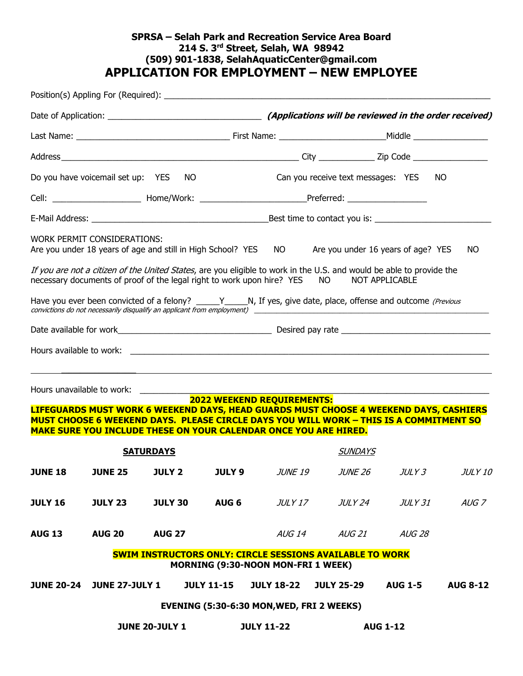# **SPRSA – Selah Park and Recreation Service Area Board 214 S. 3rd Street, Selah, WA 98942 (509) 901-1838, SelahAquaticCenter@gmail.com APPLICATION FOR EMPLOYMENT – NEW EMPLOYEE**

|                       |                                                                      | Do you have voicemail set up: YES NO                                    |                                           |                   | Can you receive text messages: YES NO                                                                                                                                                                                                                                                                                                                                                                                                                                                                                                                                                                                                     |                 |                 |
|-----------------------|----------------------------------------------------------------------|-------------------------------------------------------------------------|-------------------------------------------|-------------------|-------------------------------------------------------------------------------------------------------------------------------------------------------------------------------------------------------------------------------------------------------------------------------------------------------------------------------------------------------------------------------------------------------------------------------------------------------------------------------------------------------------------------------------------------------------------------------------------------------------------------------------------|-----------------|-----------------|
|                       |                                                                      |                                                                         |                                           |                   | Cell: ________________________________Home/Work: _______________________________Preferred: ___________________                                                                                                                                                                                                                                                                                                                                                                                                                                                                                                                            |                 |                 |
|                       |                                                                      |                                                                         |                                           |                   |                                                                                                                                                                                                                                                                                                                                                                                                                                                                                                                                                                                                                                           |                 |                 |
|                       | WORK PERMIT CONSIDERATIONS:<br>Hours unavailable to work: __________ |                                                                         | <b>2022 WEEKEND REQUIREMENTS:</b>         |                   | Are you under 18 years of age and still in High School? YES NO Are you under 16 years of age? YES<br>If you are not a citizen of the United States, are you eligible to work in the U.S. and would be able to provide the<br>necessary documents of proof of the legal right to work upon hire? YES NO NOT APPLICABLE<br>Have you ever been convicted of a felony? _____Y_____N, If yes, give date, place, offense and outcome (Previous<br>convictions do not necessarily disqualify an applicant from employment) ____________________________<br>LIFEGUARDS MUST WORK 6 WEEKEND DAYS, HEAD GUARDS MUST CHOOSE 4 WEEKEND DAYS, CASHIERS |                 | NO              |
|                       |                                                                      | <b>MAKE SURE YOU INCLUDE THESE ON YOUR CALENDAR ONCE YOU ARE HIRED.</b> |                                           |                   | MUST CHOOSE 6 WEEKEND DAYS. PLEASE CIRCLE DAYS YOU WILL WORK - THIS IS A COMMITMENT SO                                                                                                                                                                                                                                                                                                                                                                                                                                                                                                                                                    |                 |                 |
|                       |                                                                      | <b>SATURDAYS</b>                                                        |                                           |                   | <b>SUNDAYS</b>                                                                                                                                                                                                                                                                                                                                                                                                                                                                                                                                                                                                                            |                 |                 |
|                       |                                                                      |                                                                         |                                           |                   | <b>JUNE 18   JUNE 25   JULY 2    JULY 9</b> <i>JUNE 19    JUNE 26    JULY 3    JULY 10</i>                                                                                                                                                                                                                                                                                                                                                                                                                                                                                                                                                |                 |                 |
| <b>JULY 16</b>        | <b>JULY 23</b>                                                       | <b>JULY 30</b>                                                          | AUG <sub>6</sub>                          | JULY 17           | JULY 24                                                                                                                                                                                                                                                                                                                                                                                                                                                                                                                                                                                                                                   | JULY 31         | $AUG$ $7$       |
| <b>AUG 13</b>         | <b>AUG 20</b>                                                        | <b>AUG 27</b>                                                           |                                           |                   | AUG 14 AUG 21                                                                                                                                                                                                                                                                                                                                                                                                                                                                                                                                                                                                                             | <b>AUG 28</b>   |                 |
|                       |                                                                      |                                                                         | <b>MORNING (9:30-NOON MON-FRI 1 WEEK)</b> |                   | <b>SWIM INSTRUCTORS ONLY: CIRCLE SESSIONS AVAILABLE TO WORK</b>                                                                                                                                                                                                                                                                                                                                                                                                                                                                                                                                                                           |                 |                 |
|                       | <b>JUNE 20-24 JUNE 27-JULY 1</b>                                     |                                                                         | <b>JULY 11-15</b>                         | <b>JULY 18-22</b> | <b>JULY 25-29</b>                                                                                                                                                                                                                                                                                                                                                                                                                                                                                                                                                                                                                         | <b>AUG 1-5</b>  | <b>AUG 8-12</b> |
|                       |                                                                      |                                                                         | EVENING (5:30-6:30 MON, WED, FRI 2 WEEKS) |                   |                                                                                                                                                                                                                                                                                                                                                                                                                                                                                                                                                                                                                                           |                 |                 |
| <b>JUNE 20-JULY 1</b> |                                                                      |                                                                         |                                           | <b>JULY 11-22</b> |                                                                                                                                                                                                                                                                                                                                                                                                                                                                                                                                                                                                                                           | <b>AUG 1-12</b> |                 |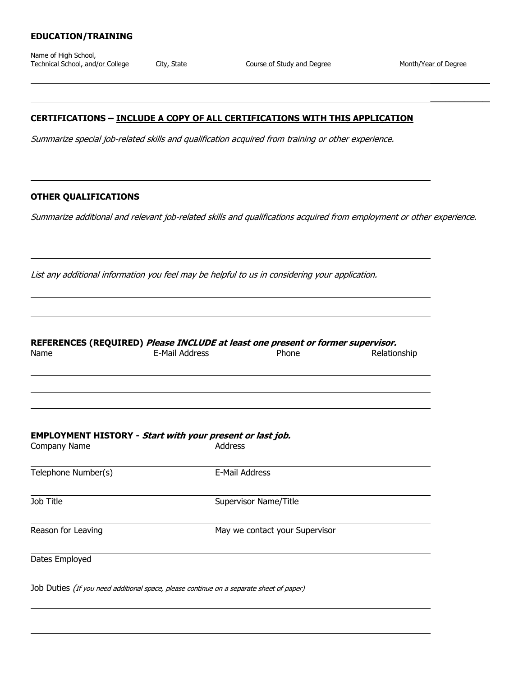## **EDUCATION/TRAINING**

Name of High School, Technical School, and/or College City, State Course of Study and Degree Month/Year of Degree

 $\mathcal{L}_\text{max}$  and  $\mathcal{L}_\text{max}$  and  $\mathcal{L}_\text{max}$ 

 $\mathcal{L}_\text{max}$  , we have the set of  $\mathcal{L}_\text{max}$ 

### **CERTIFICATIONS – INCLUDE A COPY OF ALL CERTIFICATIONS WITH THIS APPLICATION**

Summarize special job-related skills and qualification acquired from training or other experience.

#### **OTHER QUALIFICATIONS**

Summarize additional and relevant job-related skills and qualifications acquired from employment or other experience.

List any additional information you feel may be helpful to us in considering your application.

|      | REFERENCES (REQUIRED) Please INCLUDE at least one present or former supervisor. |       |                    |
|------|---------------------------------------------------------------------------------|-------|--------------------|
| Namo | E-Mail Address                                                                  | Dhone | <b>Delationchi</b> |

| E-Mail Address | Phone | Relationship                                                                                                                                                    |
|----------------|-------|-----------------------------------------------------------------------------------------------------------------------------------------------------------------|
|                |       |                                                                                                                                                                 |
|                |       |                                                                                                                                                                 |
|                |       |                                                                                                                                                                 |
|                |       |                                                                                                                                                                 |
|                |       |                                                                                                                                                                 |
|                |       | <b>EMPLOYMENT HISTORY</b> - Start with your present or last job.<br><b>Address</b><br>E-Mail Address<br>Supervisor Name/Title<br>May we contact your Supervisor |